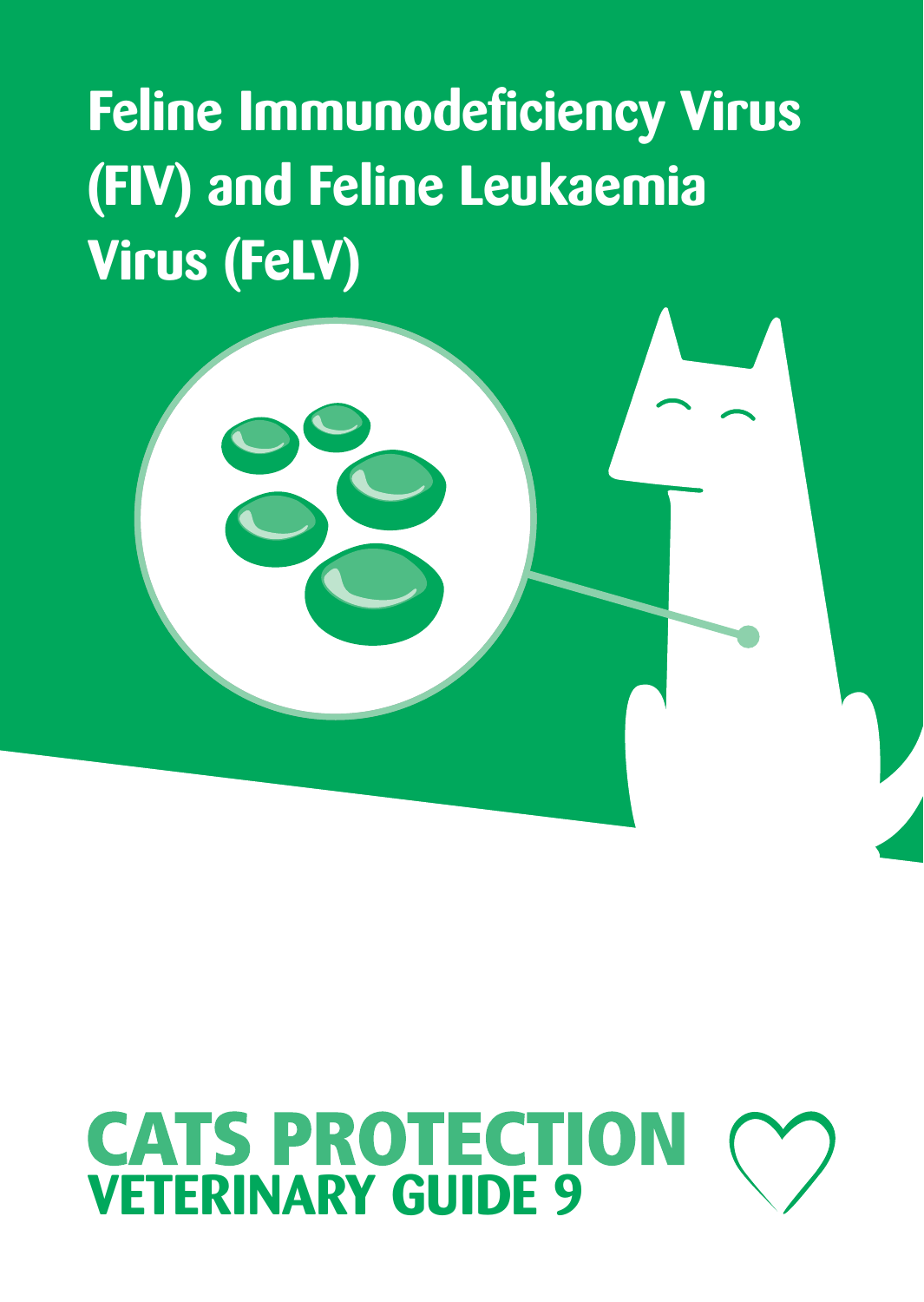# **Feline Immunodeficiency Virus (FIV) and Feline Leukaemia Virus (FeLV)**

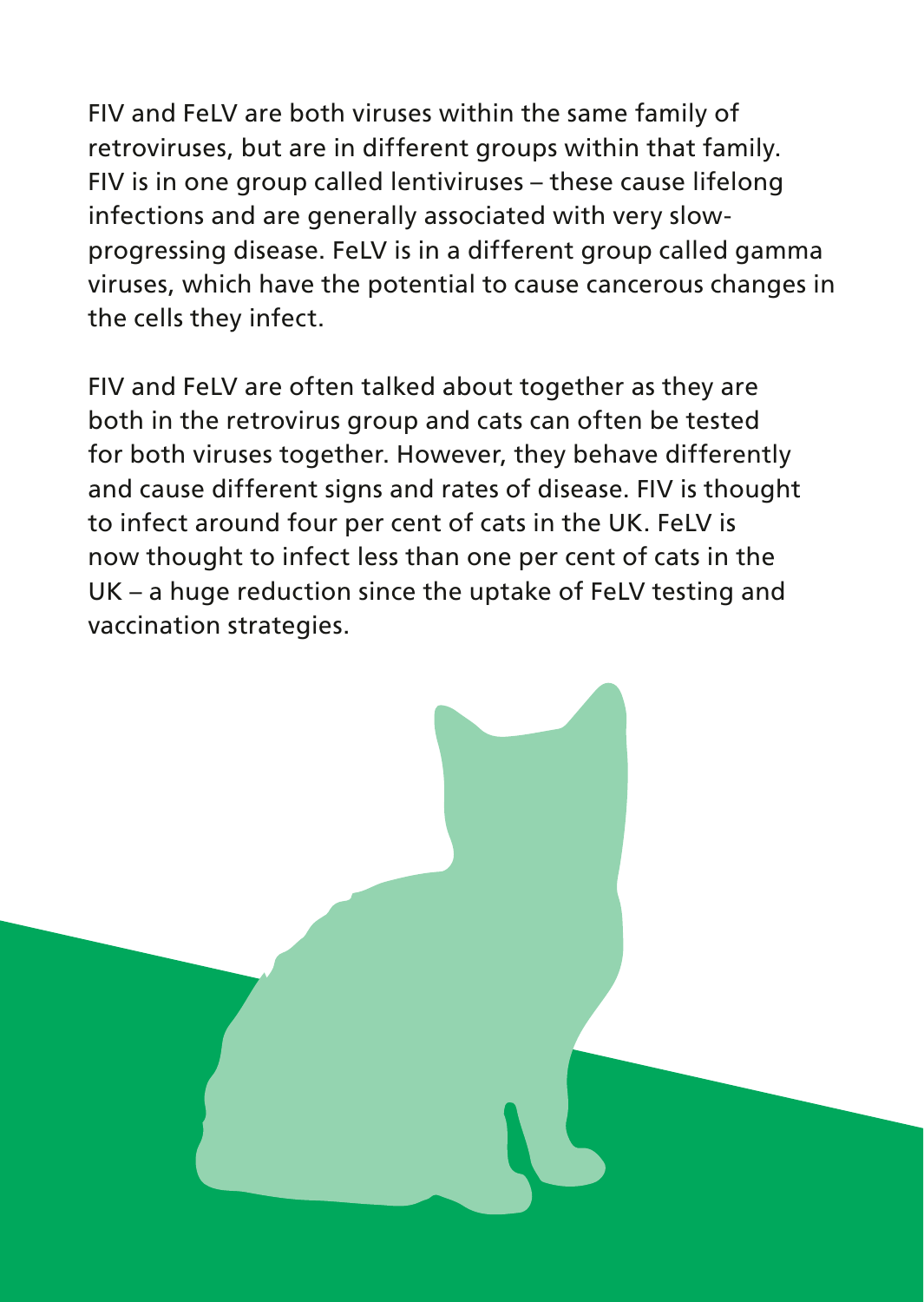FIV and FeLV are both viruses within the same family of retroviruses, but are in different groups within that family. FIV is in one group called lentiviruses – these cause lifelong infections and are generally associated with very slowprogressing disease. FeLV is in a different group called gamma viruses, which have the potential to cause cancerous changes in the cells they infect.

FIV and FeLV are often talked about together as they are both in the retrovirus group and cats can often be tested for both viruses together. However, they behave differently and cause different signs and rates of disease. FIV is thought to infect around four per cent of cats in the UK. FeLV is now thought to infect less than one per cent of cats in the UK – a huge reduction since the uptake of FeLV testing and vaccination strategies.

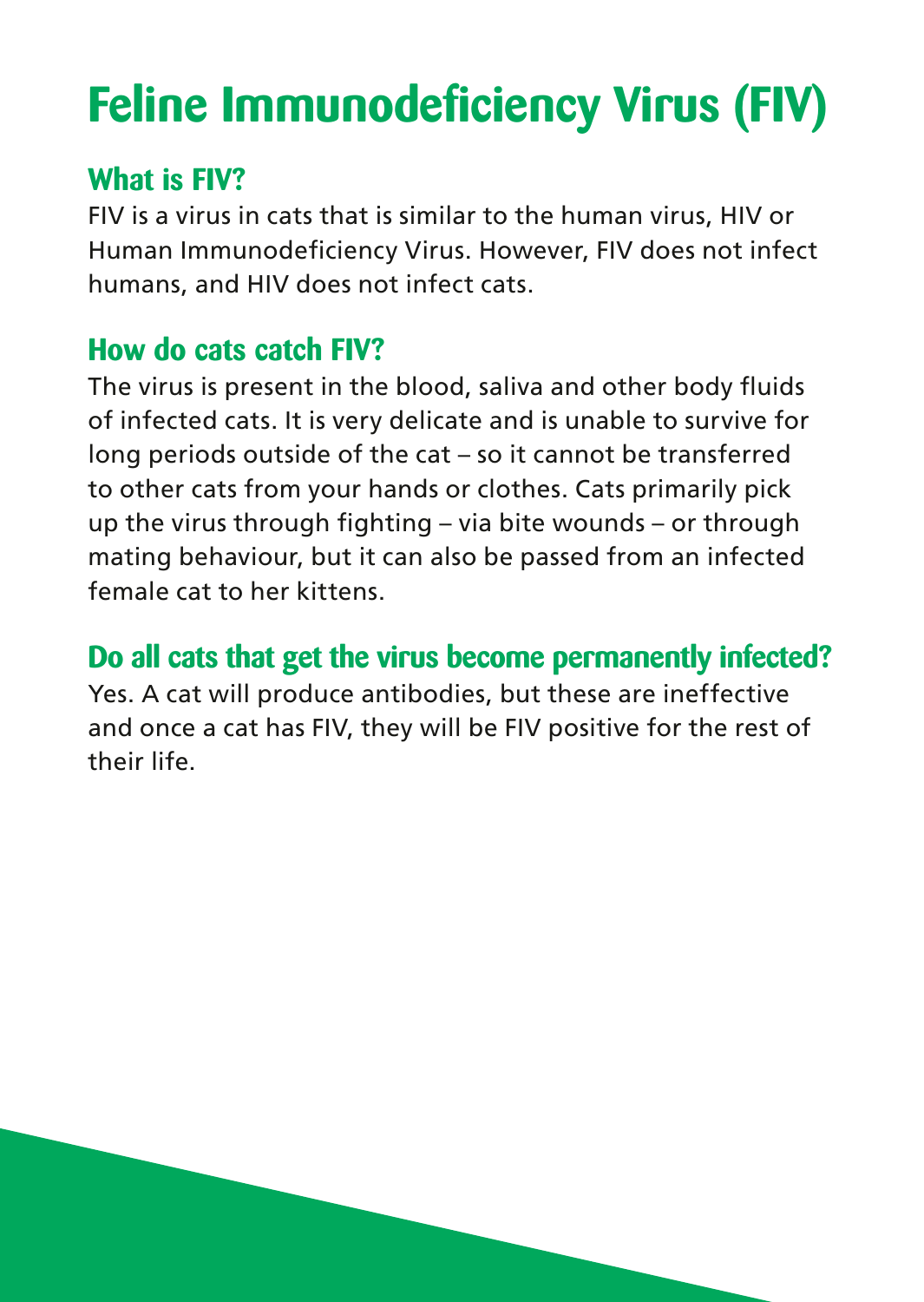## **Feline Immunodeficiency Virus (FIV)**

## **What is FIV?**

FIV is a virus in cats that is similar to the human virus, HIV or Human Immunodeficiency Virus. However, FIV does not infect humans, and HIV does not infect cats.

## **How do cats catch FIV?**

The virus is present in the blood, saliva and other body fluids of infected cats. It is very delicate and is unable to survive for long periods outside of the cat – so it cannot be transferred to other cats from your hands or clothes. Cats primarily pick up the virus through fighting – via bite wounds – or through mating behaviour, but it can also be passed from an infected female cat to her kittens.

## **Do all cats that get the virus become permanently infected?**

Yes. A cat will produce antibodies, but these are ineffective and once a cat has FIV, they will be FIV positive for the rest of their life.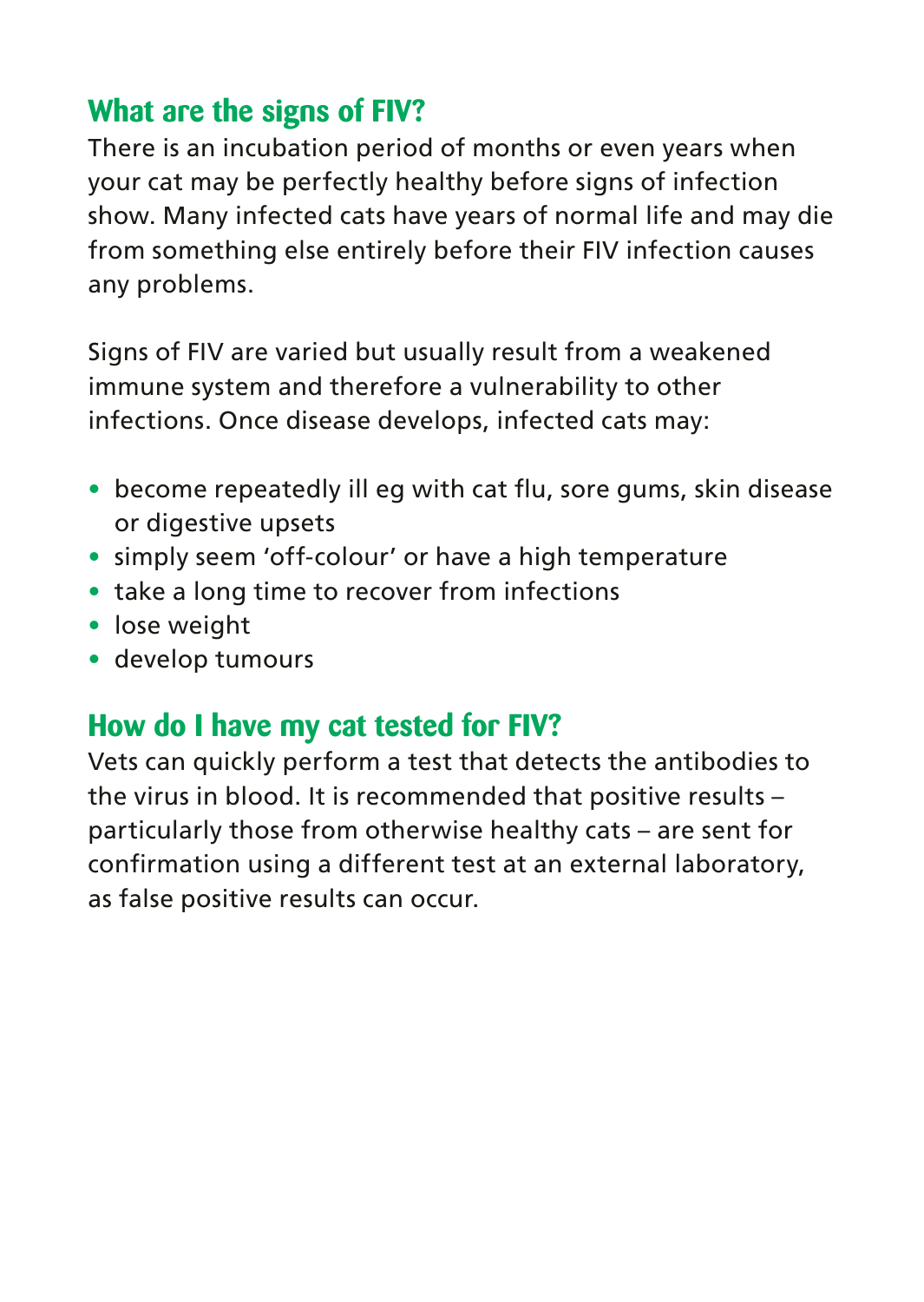### **What are the signs of FIV?**

There is an incubation period of months or even years when your cat may be perfectly healthy before signs of infection show. Many infected cats have years of normal life and may die from something else entirely before their FIV infection causes any problems.

Signs of FIV are varied but usually result from a weakened immune system and therefore a vulnerability to other infections. Once disease develops, infected cats may:

- **•** become repeatedly ill eg with cat flu, sore gums, skin disease or digestive upsets
- **•** simply seem 'off-colour' or have a high temperature
- **•** take a long time to recover from infections
- **•** lose weight
- **•** develop tumours

## **How do I have my cat tested for FIV?**

Vets can quickly perform a test that detects the antibodies to the virus in blood. It is recommended that positive results – particularly those from otherwise healthy cats – are sent for confirmation using a different test at an external laboratory, as false positive results can occur.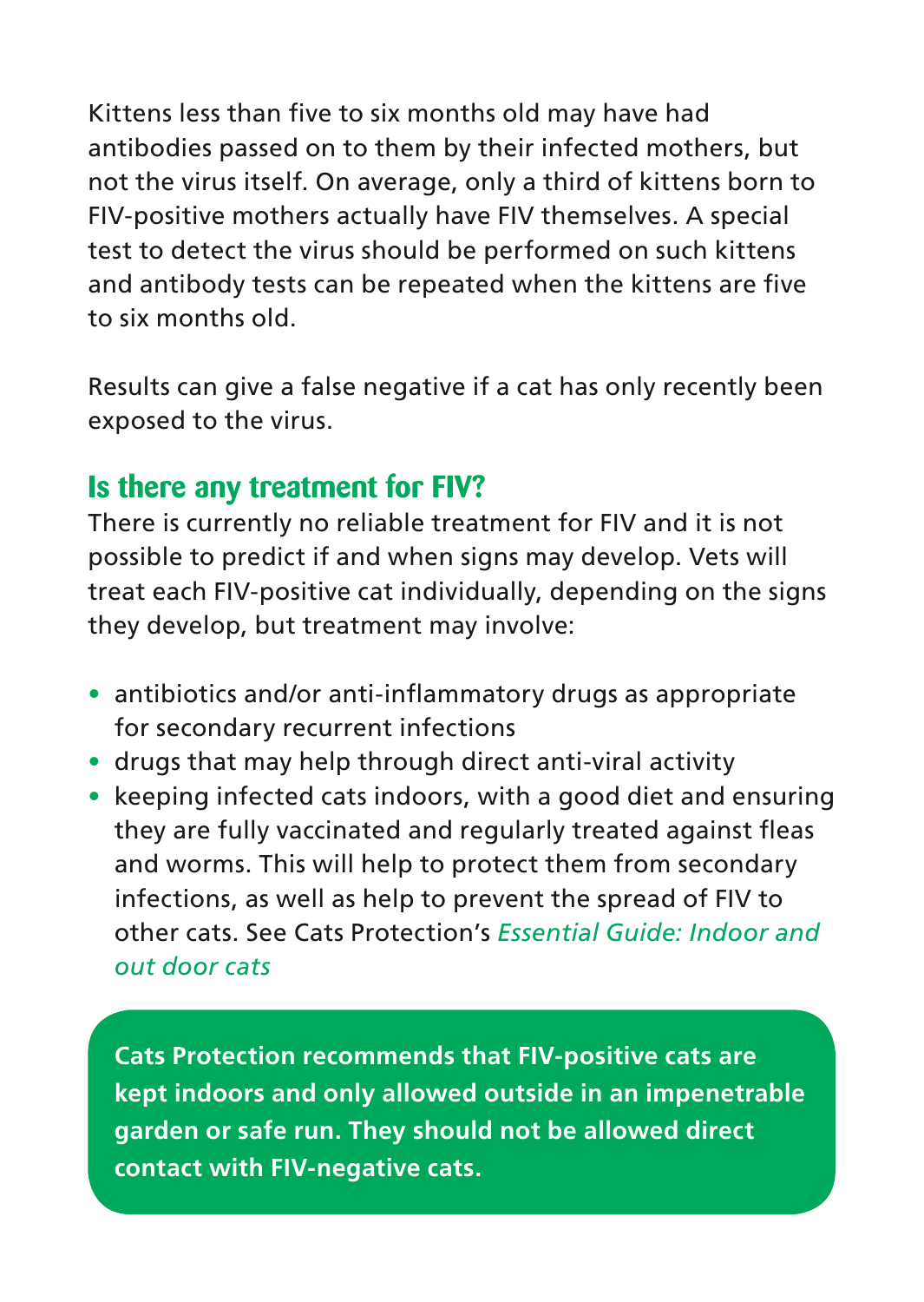Kittens less than five to six months old may have had antibodies passed on to them by their infected mothers, but not the virus itself. On average, only a third of kittens born to FIV-positive mothers actually have FIV themselves. A special test to detect the virus should be performed on such kittens and antibody tests can be repeated when the kittens are five to six months old.

Results can give a false negative if a cat has only recently been exposed to the virus.

### **Is there any treatment for FIV?**

There is currently no reliable treatment for FIV and it is not possible to predict if and when signs may develop. Vets will treat each FIV-positive cat individually, depending on the signs they develop, but treatment may involve:

- **•** antibiotics and/or anti-inflammatory drugs as appropriate for secondary recurrent infections
- **•** drugs that may help through direct anti-viral activity
- **•** keeping infected cats indoors, with a good diet and ensuring they are fully vaccinated and regularly treated against fleas and worms. This will help to protect them from secondary infections, as well as help to prevent the spread of FIV to other cats. See Cats Protection's *Essential Guide: Indoor and out door cats*

**Cats Protection recommends that FIV-positive cats are kept indoors and only allowed outside in an impenetrable garden or safe run. They should not be allowed direct contact with FIV-negative cats.**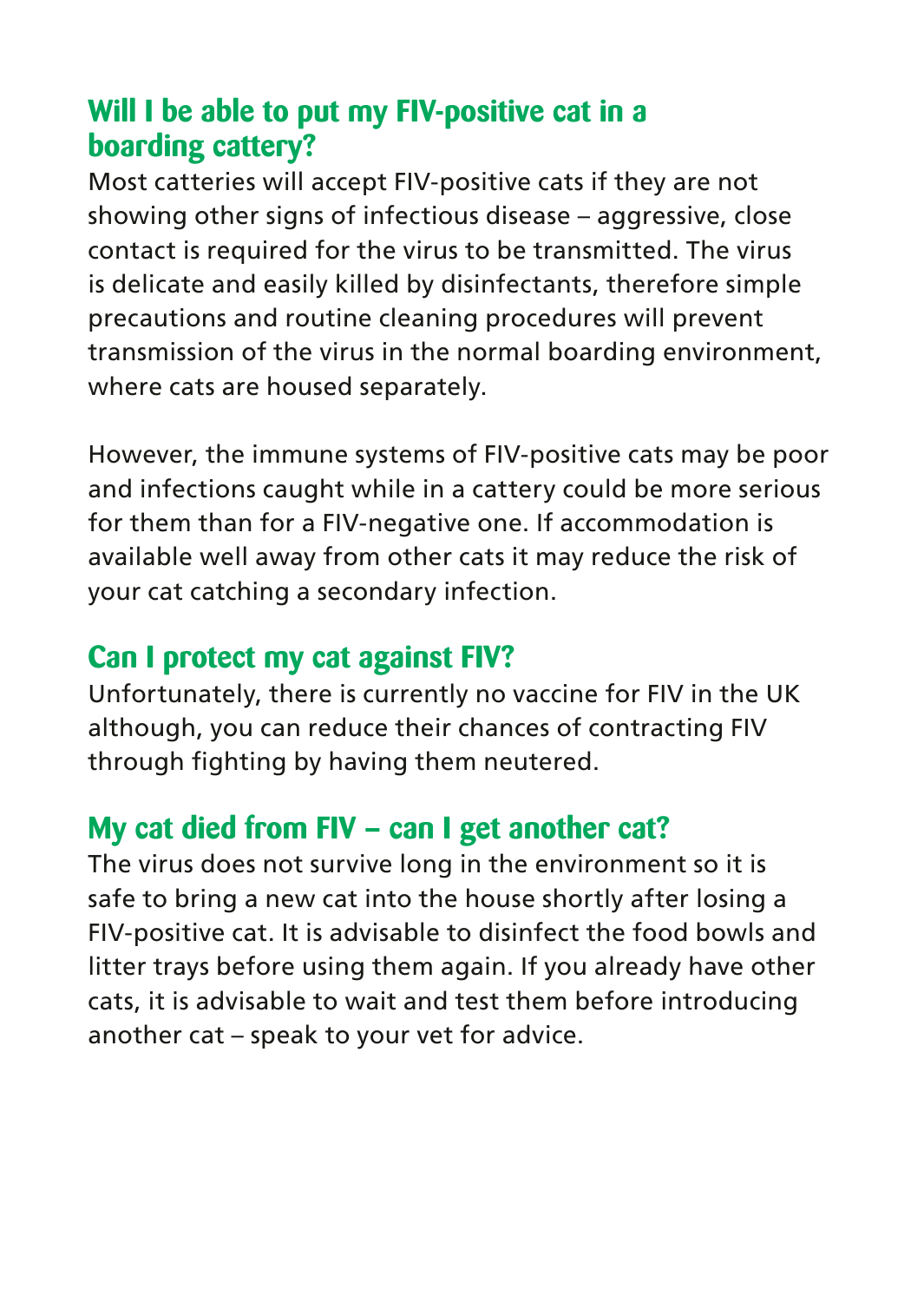### **Will I be able to put my FIV-positive cat in a boarding cattery?**

Most catteries will accept FIV-positive cats if they are not showing other signs of infectious disease – aggressive, close contact is required for the virus to be transmitted. The virus is delicate and easily killed by disinfectants, therefore simple precautions and routine cleaning procedures will prevent transmission of the virus in the normal boarding environment, where cats are housed separately.

However, the immune systems of FIV-positive cats may be poor and infections caught while in a cattery could be more serious for them than for a FIV-negative one. If accommodation is available well away from other cats it may reduce the risk of your cat catching a secondary infection.

### **Can I protect my cat against FIV?**

Unfortunately, there is currently no vaccine for FIV in the UK although, you can reduce their chances of contracting FIV through fighting by having them neutered.

## **My cat died from FIV – can I get another cat?**

The virus does not survive long in the environment so it is safe to bring a new cat into the house shortly after losing a FIV-positive cat. It is advisable to disinfect the food bowls and litter trays before using them again. If you already have other cats, it is advisable to wait and test them before introducing another cat – speak to your vet for advice.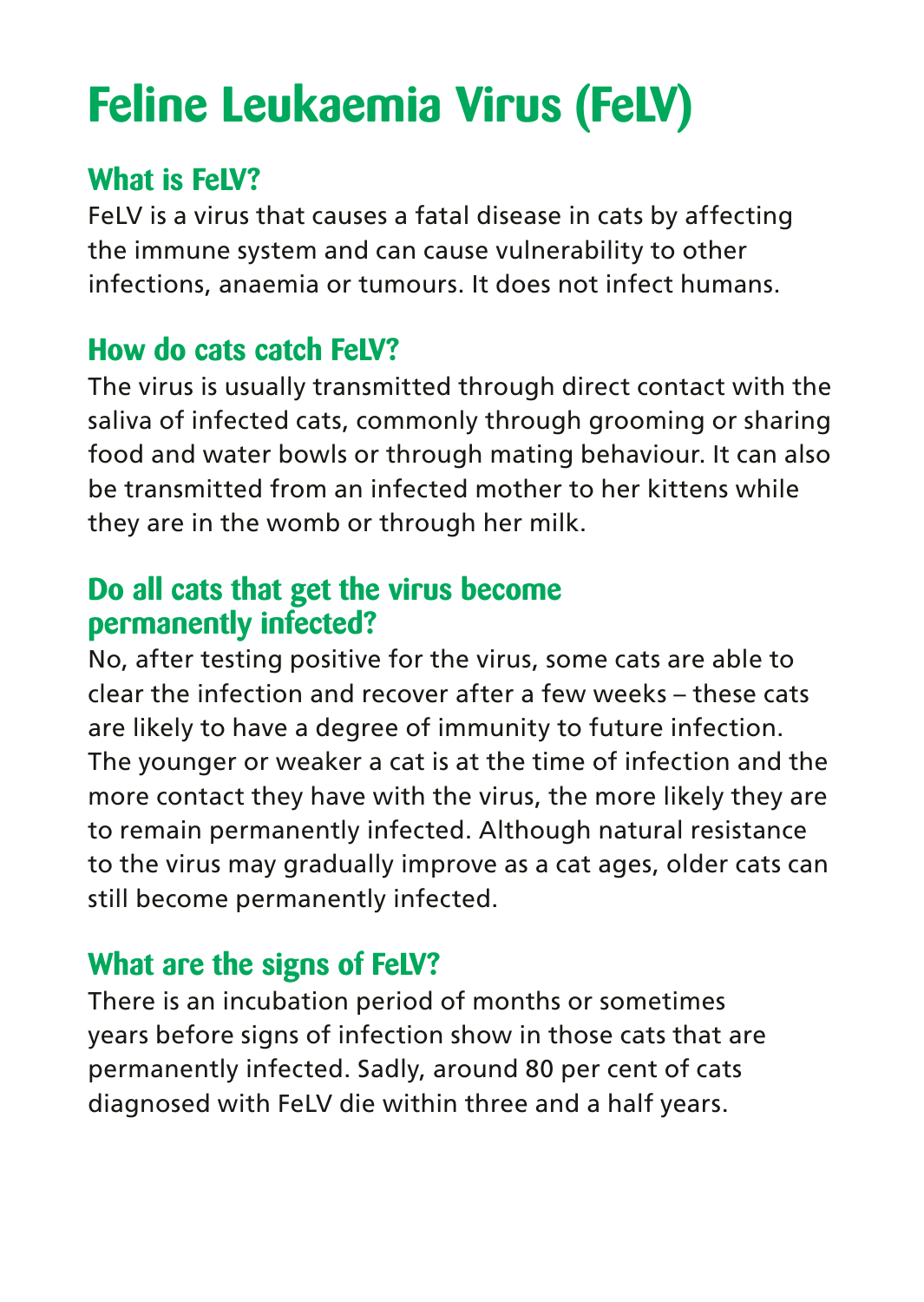## **Feline Leukaemia Virus (FeLV)**

## **What is FeLV?**

FeLV is a virus that causes a fatal disease in cats by affecting the immune system and can cause vulnerability to other infections, anaemia or tumours. It does not infect humans.

## **How do cats catch FeLV?**

The virus is usually transmitted through direct contact with the saliva of infected cats, commonly through grooming or sharing food and water bowls or through mating behaviour. It can also be transmitted from an infected mother to her kittens while they are in the womb or through her milk.

### **Do all cats that get the virus become permanently infected?**

No, after testing positive for the virus, some cats are able to clear the infection and recover after a few weeks – these cats are likely to have a degree of immunity to future infection. The younger or weaker a cat is at the time of infection and the more contact they have with the virus, the more likely they are to remain permanently infected. Although natural resistance to the virus may gradually improve as a cat ages, older cats can still become permanently infected.

## **What are the signs of FeLV?**

There is an incubation period of months or sometimes years before signs of infection show in those cats that are permanently infected. Sadly, around 80 per cent of cats diagnosed with FeLV die within three and a half years.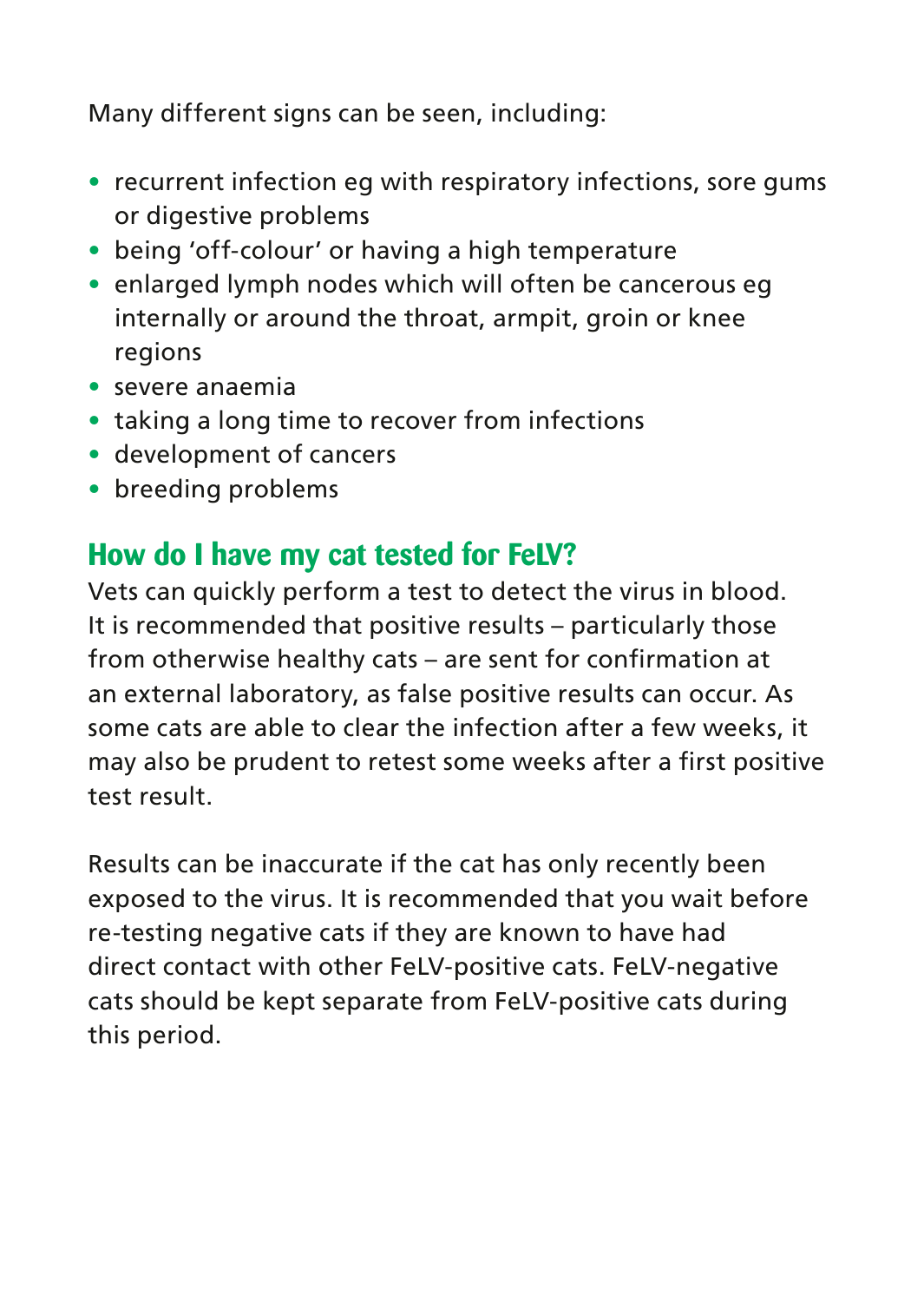Many different signs can be seen, including:

- **•** recurrent infection eg with respiratory infections, sore gums or digestive problems
- **•** being 'off-colour' or having a high temperature
- **•** enlarged lymph nodes which will often be cancerous eg internally or around the throat, armpit, groin or knee regions
- **•** severe anaemia
- **•** taking a long time to recover from infections
- **•** development of cancers
- **•** breeding problems

### **How do I have my cat tested for FeLV?**

Vets can quickly perform a test to detect the virus in blood. It is recommended that positive results – particularly those from otherwise healthy cats – are sent for confirmation at an external laboratory, as false positive results can occur. As some cats are able to clear the infection after a few weeks, it may also be prudent to retest some weeks after a first positive test result.

Results can be inaccurate if the cat has only recently been exposed to the virus. It is recommended that you wait before re-testing negative cats if they are known to have had direct contact with other FeLV-positive cats. FeLV-negative cats should be kept separate from FeLV-positive cats during this period.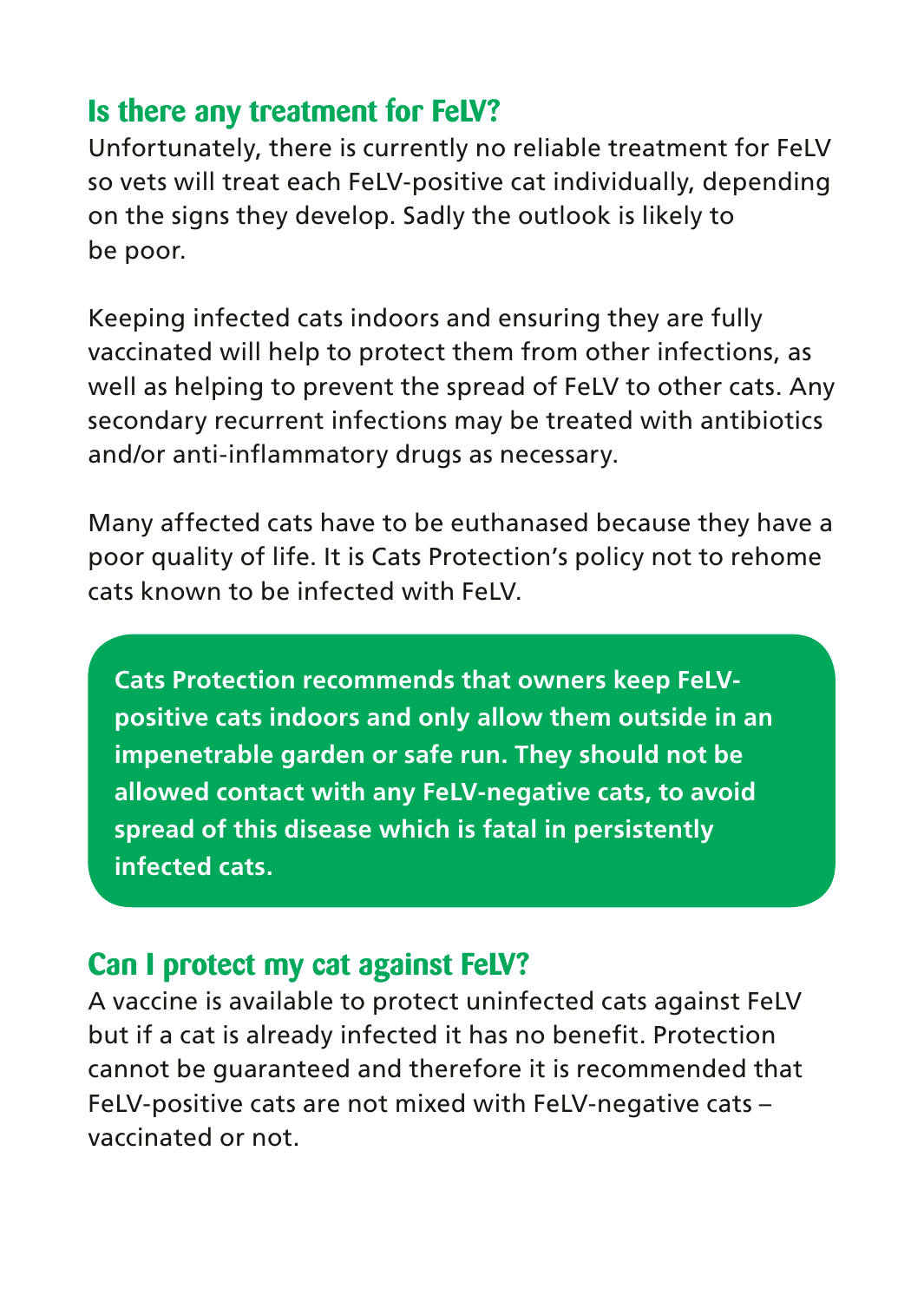#### **Is there any treatment for FeLV?**

Unfortunately, there is currently no reliable treatment for FeLV so vets will treat each FeLV-positive cat individually, depending on the signs they develop. Sadly the outlook is likely to be poor.

Keeping infected cats indoors and ensuring they are fully vaccinated will help to protect them from other infections, as well as helping to prevent the spread of FeLV to other cats. Any secondary recurrent infections may be treated with antibiotics and/or anti-inflammatory drugs as necessary.

Many affected cats have to be euthanased because they have a poor quality of life. It is Cats Protection's policy not to rehome cats known to be infected with FeLV.

**Cats Protection recommends that owners keep FeLVpositive cats indoors and only allow them outside in an impenetrable garden or safe run. They should not be allowed contact with any FeLV-negative cats, to avoid spread of this disease which is fatal in persistently infected cats.**

### **Can I protect my cat against FeLV?**

A vaccine is available to protect uninfected cats against FeLV but if a cat is already infected it has no benefit. Protection cannot be guaranteed and therefore it is recommended that FeLV-positive cats are not mixed with FeLV-negative cats – vaccinated or not.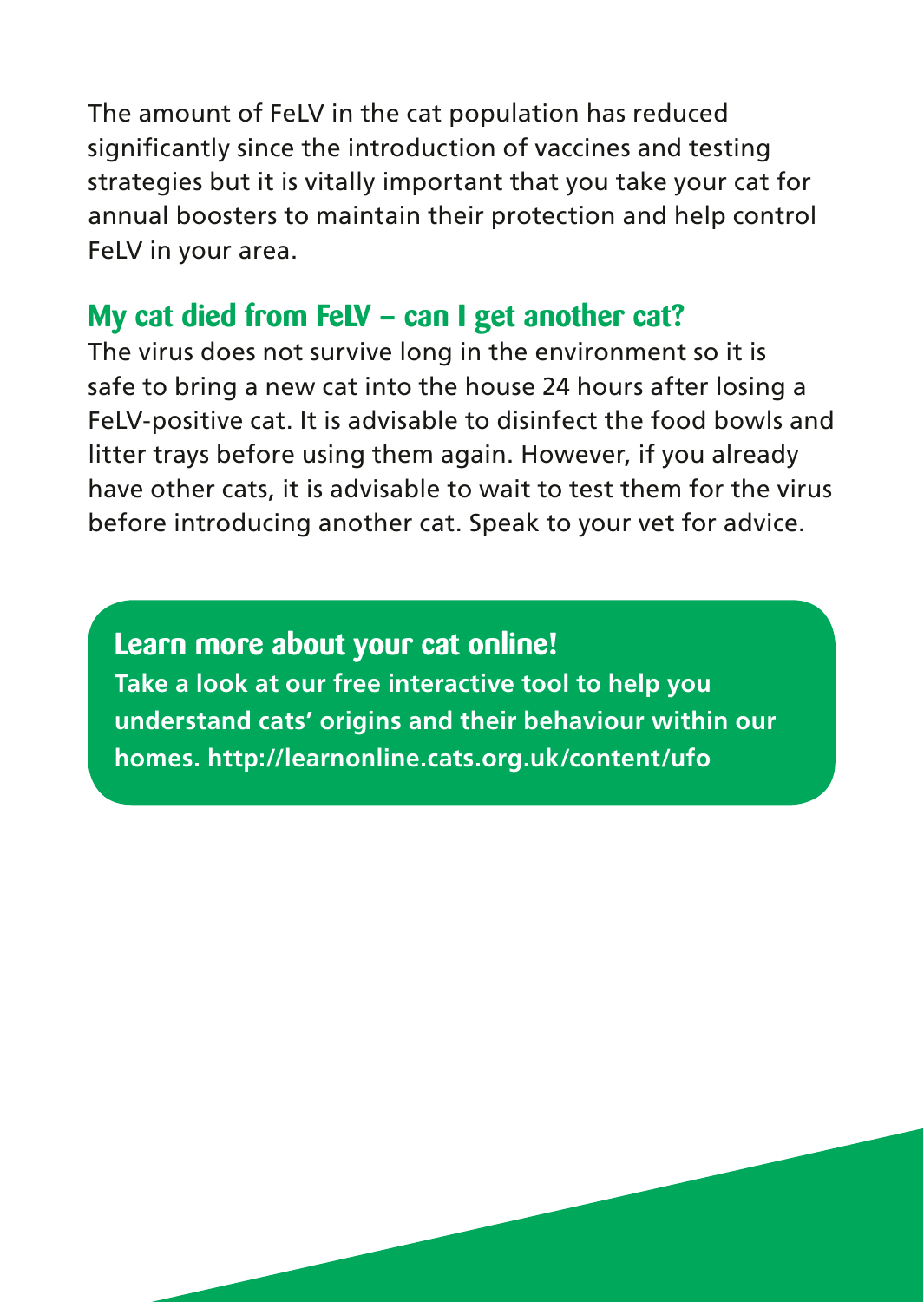The amount of FeLV in the cat population has reduced significantly since the introduction of vaccines and testing strategies but it is vitally important that you take your cat for annual boosters to maintain their protection and help control FeLV in your area.

#### **My cat died from FeLV – can I get another cat?**

The virus does not survive long in the environment so it is safe to bring a new cat into the house 24 hours after losing a FeLV-positive cat. It is advisable to disinfect the food bowls and litter trays before using them again. However, if you already have other cats, it is advisable to wait to test them for the virus before introducing another cat. Speak to your vet for advice.

**Learn more about your cat online! Take a look at our free interactive tool to help you understand cats' origins and their behaviour within our homes. http://learnonline.cats.org.uk/content/ufo**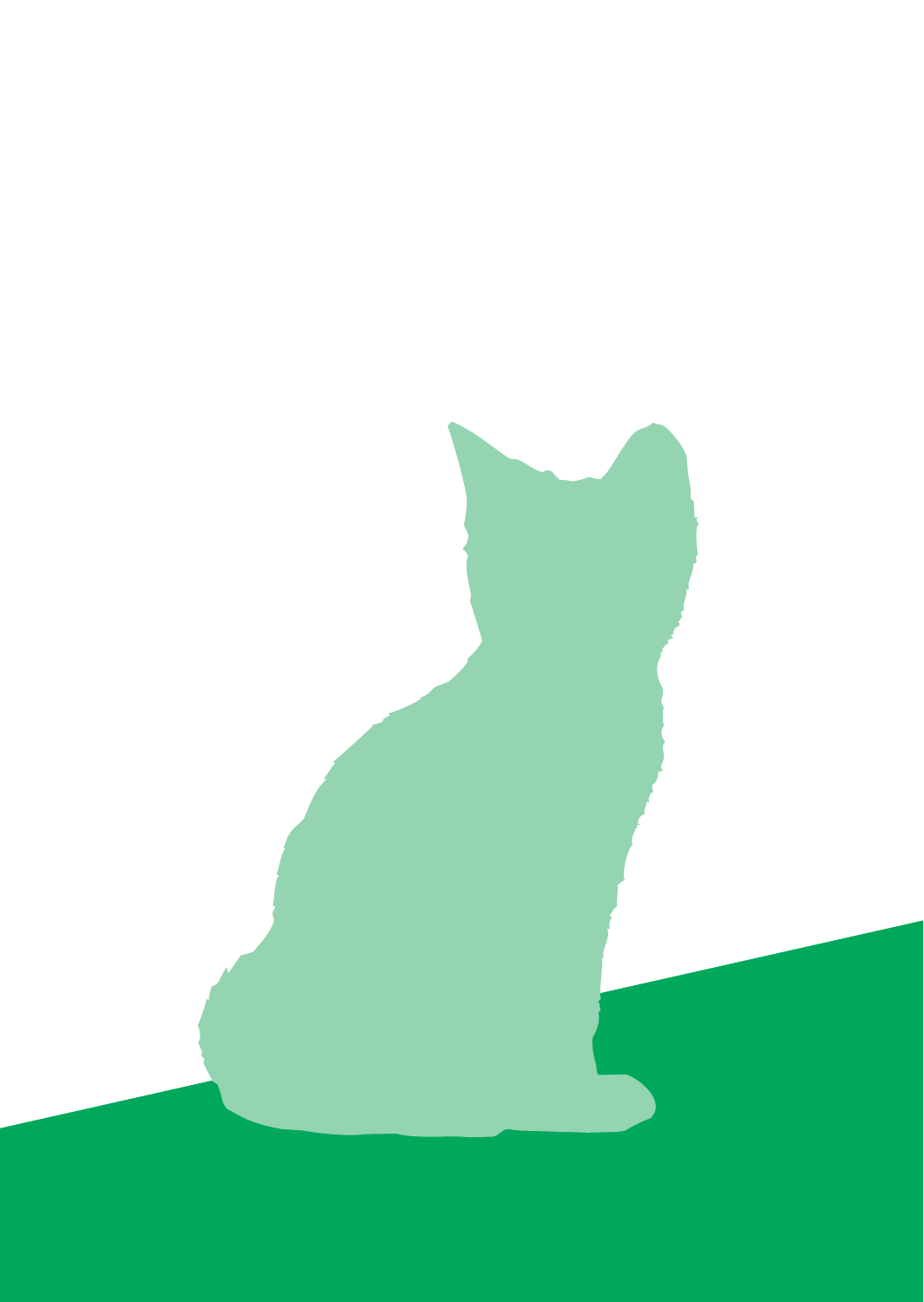